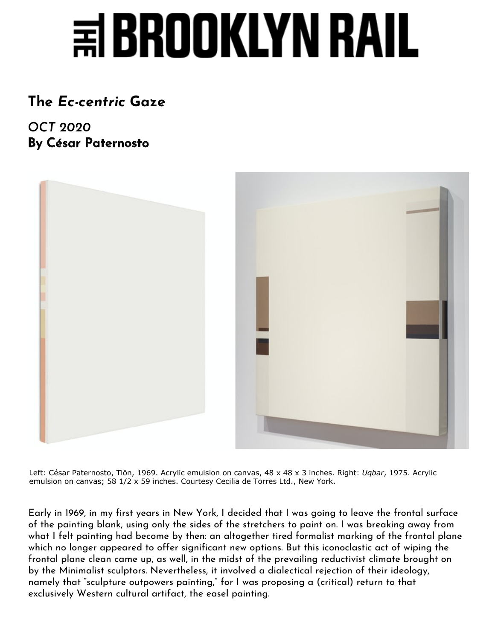## **第BROOKLYN RAI**

## **[The](https://brooklynrail.org/2020/10/criticspage)** *Ec-centric* **Gaze**

*OCT 2020* **By César Paternosto**



Left: César Paternosto, Tlön, 1969. Acrylic emulsion on canvas, 48 x 48 x 3 inches. Right: *Uqbar*, 1975. Acrylic emulsion on canvas; 58 1/2 x 59 inches. Courtesy Cecilia de Torres Ltd., New York.

Early in 1969, in my first years in New York, I decided that I was going to leave the frontal surface of the painting blank, using only the sides of the stretchers to paint on. I was breaking away from what I felt painting had become by then: an altogether tired formalist marking of the frontal plane which no longer appeared to offer significant new options. But this iconoclastic act of wiping the frontal plane clean came up, as well, in the midst of the prevailing reductivist climate brought on by the Minimalist sculptors. Nevertheless, it involved a dialectical rejection of their ideology, namely that "sculpture outpowers painting," for I was proposing a (critical) return to that exclusively Western cultural artifact, the easel painting.